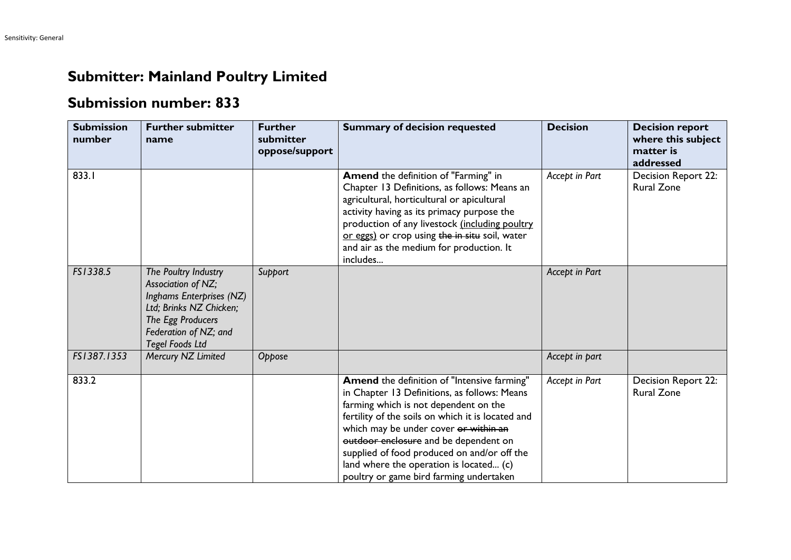## **Submitter: Mainland Poultry Limited**

## **Submission number: 833**

| <b>Submission</b><br>number | <b>Further submitter</b><br>name                                                                                                                                          | <b>Further</b><br>submitter<br>oppose/support | <b>Summary of decision requested</b>                                                                                                                                                                                                                                                                                                                                                                             | <b>Decision</b> | <b>Decision report</b><br>where this subject<br>matter is<br>addressed |
|-----------------------------|---------------------------------------------------------------------------------------------------------------------------------------------------------------------------|-----------------------------------------------|------------------------------------------------------------------------------------------------------------------------------------------------------------------------------------------------------------------------------------------------------------------------------------------------------------------------------------------------------------------------------------------------------------------|-----------------|------------------------------------------------------------------------|
| 833.I                       |                                                                                                                                                                           |                                               | Amend the definition of "Farming" in<br>Chapter 13 Definitions, as follows: Means an<br>agricultural, horticultural or apicultural<br>activity having as its primacy purpose the<br>production of any livestock (including poultry<br>or eggs) or crop using the in situ soil, water<br>and air as the medium for production. It<br>includes                                                                     | Accept in Part  | Decision Report 22:<br><b>Rural Zone</b>                               |
| FS1338.5                    | The Poultry Industry<br>Association of NZ;<br>Inghams Enterprises (NZ)<br>Ltd; Brinks NZ Chicken;<br>The Egg Producers<br>Federation of NZ; and<br><b>Tegel Foods Ltd</b> | Support                                       |                                                                                                                                                                                                                                                                                                                                                                                                                  | Accept in Part  |                                                                        |
| FS1387.1353                 | Mercury NZ Limited                                                                                                                                                        | Oppose                                        |                                                                                                                                                                                                                                                                                                                                                                                                                  | Accept in part  |                                                                        |
| 833.2                       |                                                                                                                                                                           |                                               | Amend the definition of "Intensive farming"<br>in Chapter 13 Definitions, as follows: Means<br>farming which is not dependent on the<br>fertility of the soils on which it is located and<br>which may be under cover or within an<br>outdoor enclosure and be dependent on<br>supplied of food produced on and/or off the<br>land where the operation is located (c)<br>poultry or game bird farming undertaken | Accept in Part  | Decision Report 22:<br><b>Rural Zone</b>                               |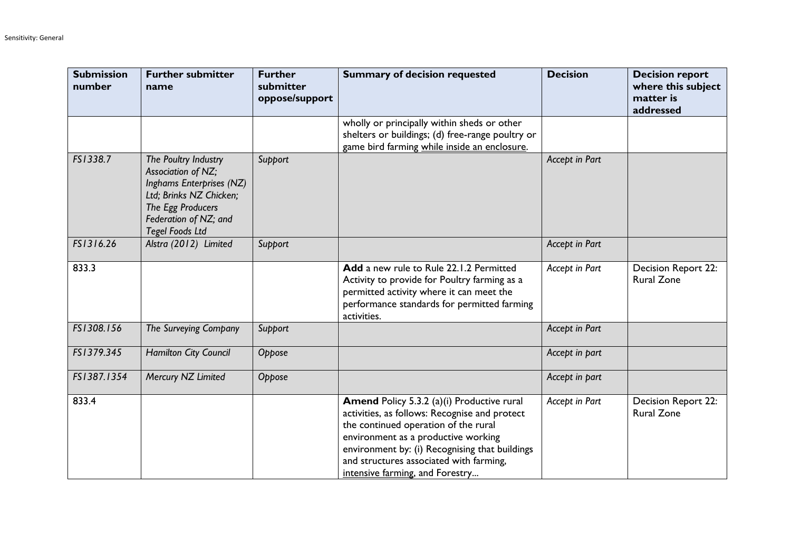| <b>Submission</b><br>number | <b>Further submitter</b><br>name                                                                                                                                          | <b>Further</b><br>submitter<br>oppose/support | <b>Summary of decision requested</b>                                                                                                                                                                                                                                                                       | <b>Decision</b> | <b>Decision report</b><br>where this subject<br>matter is<br>addressed |
|-----------------------------|---------------------------------------------------------------------------------------------------------------------------------------------------------------------------|-----------------------------------------------|------------------------------------------------------------------------------------------------------------------------------------------------------------------------------------------------------------------------------------------------------------------------------------------------------------|-----------------|------------------------------------------------------------------------|
|                             |                                                                                                                                                                           |                                               | wholly or principally within sheds or other<br>shelters or buildings; (d) free-range poultry or<br>game bird farming while inside an enclosure.                                                                                                                                                            |                 |                                                                        |
| FS1338.7                    | The Poultry Industry<br>Association of NZ;<br>Inghams Enterprises (NZ)<br>Ltd; Brinks NZ Chicken;<br>The Egg Producers<br>Federation of NZ; and<br><b>Tegel Foods Ltd</b> | Support                                       |                                                                                                                                                                                                                                                                                                            | Accept in Part  |                                                                        |
| FS1316.26                   | Alstra (2012) Limited                                                                                                                                                     | Support                                       |                                                                                                                                                                                                                                                                                                            | Accept in Part  |                                                                        |
| 833.3                       |                                                                                                                                                                           |                                               | Add a new rule to Rule 22.1.2 Permitted<br>Activity to provide for Poultry farming as a<br>permitted activity where it can meet the<br>performance standards for permitted farming<br>activities.                                                                                                          | Accept in Part  | <b>Decision Report 22:</b><br><b>Rural Zone</b>                        |
| FS1308.156                  | The Surveying Company                                                                                                                                                     | Support                                       |                                                                                                                                                                                                                                                                                                            | Accept in Part  |                                                                        |
| FS1379.345                  | <b>Hamilton City Council</b>                                                                                                                                              | Oppose                                        |                                                                                                                                                                                                                                                                                                            | Accept in part  |                                                                        |
| FS1387.1354                 | Mercury NZ Limited                                                                                                                                                        | Oppose                                        |                                                                                                                                                                                                                                                                                                            | Accept in part  |                                                                        |
| 833.4                       |                                                                                                                                                                           |                                               | Amend Policy 5.3.2 (a)(i) Productive rural<br>activities, as follows: Recognise and protect<br>the continued operation of the rural<br>environment as a productive working<br>environment by: (i) Recognising that buildings<br>and structures associated with farming,<br>intensive farming, and Forestry | Accept in Part  | Decision Report 22:<br><b>Rural Zone</b>                               |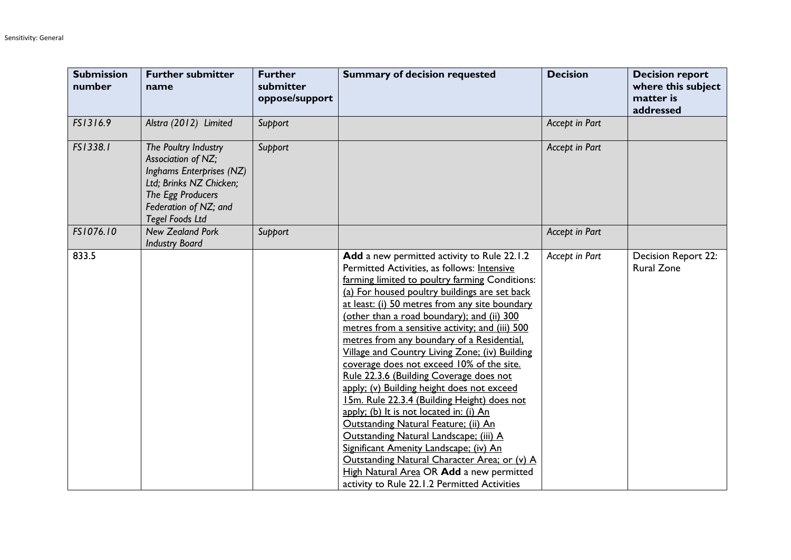| <b>Submission</b><br>number | <b>Further submitter</b><br>name                                                                                                                                          | <b>Further</b><br>submitter<br>oppose/support | <b>Summary of decision requested</b>                                                                                                                                                                                                                                                                                                                                                                                                                                                                                                                                                                                                                                                                                                                                                                                                                                                                                                                     | <b>Decision</b> | <b>Decision report</b><br>where this subject<br>matter is<br>addressed |
|-----------------------------|---------------------------------------------------------------------------------------------------------------------------------------------------------------------------|-----------------------------------------------|----------------------------------------------------------------------------------------------------------------------------------------------------------------------------------------------------------------------------------------------------------------------------------------------------------------------------------------------------------------------------------------------------------------------------------------------------------------------------------------------------------------------------------------------------------------------------------------------------------------------------------------------------------------------------------------------------------------------------------------------------------------------------------------------------------------------------------------------------------------------------------------------------------------------------------------------------------|-----------------|------------------------------------------------------------------------|
| FS1316.9                    | Alstra (2012) Limited                                                                                                                                                     | Support                                       |                                                                                                                                                                                                                                                                                                                                                                                                                                                                                                                                                                                                                                                                                                                                                                                                                                                                                                                                                          | Accept in Part  |                                                                        |
| FS1338.1                    | The Poultry Industry<br>Association of NZ;<br>Inghams Enterprises (NZ)<br>Ltd; Brinks NZ Chicken;<br>The Egg Producers<br>Federation of NZ; and<br><b>Tegel Foods Ltd</b> | Support                                       |                                                                                                                                                                                                                                                                                                                                                                                                                                                                                                                                                                                                                                                                                                                                                                                                                                                                                                                                                          | Accept in Part  |                                                                        |
| FS1076.10                   | <b>New Zealand Pork</b><br><b>Industry Board</b>                                                                                                                          | Support                                       |                                                                                                                                                                                                                                                                                                                                                                                                                                                                                                                                                                                                                                                                                                                                                                                                                                                                                                                                                          | Accept in Part  |                                                                        |
| 833.5                       |                                                                                                                                                                           |                                               | Add a new permitted activity to Rule 22.1.2<br>Permitted Activities, as follows: Intensive<br>farming limited to poultry farming Conditions:<br>(a) For housed poultry buildings are set back<br>at least: (i) 50 metres from any site boundary<br>(other than a road boundary); and (ii) 300<br>metres from a sensitive activity; and (iii) 500<br>metres from any boundary of a Residential,<br>Village and Country Living Zone; (iv) Building<br>coverage does not exceed 10% of the site.<br>Rule 22.3.6 (Building Coverage does not<br>apply; (v) Building height does not exceed<br>15m. Rule 22.3.4 (Building Height) does not<br>apply; (b) It is not located in: (i) An<br>Outstanding Natural Feature; (ii) An<br>Outstanding Natural Landscape; (iii) A<br>Significant Amenity Landscape; (iv) An<br>Outstanding Natural Character Area; or (v) A<br>High Natural Area OR Add a new permitted<br>activity to Rule 22.1.2 Permitted Activities | Accept in Part  | Decision Report 22:<br><b>Rural Zone</b>                               |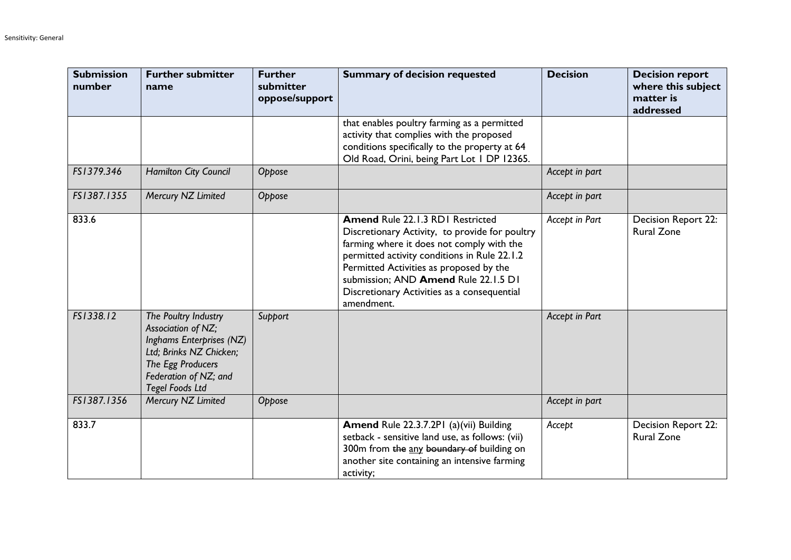| <b>Submission</b><br>number | <b>Further submitter</b><br>name                                                                                                                                          | <b>Further</b><br>submitter<br>oppose/support | <b>Summary of decision requested</b>                                                                                                                                                                                                                                                                                            | <b>Decision</b> | <b>Decision report</b><br>where this subject<br>matter is<br>addressed |
|-----------------------------|---------------------------------------------------------------------------------------------------------------------------------------------------------------------------|-----------------------------------------------|---------------------------------------------------------------------------------------------------------------------------------------------------------------------------------------------------------------------------------------------------------------------------------------------------------------------------------|-----------------|------------------------------------------------------------------------|
|                             |                                                                                                                                                                           |                                               | that enables poultry farming as a permitted<br>activity that complies with the proposed<br>conditions specifically to the property at 64<br>Old Road, Orini, being Part Lot 1 DP 12365.                                                                                                                                         |                 |                                                                        |
| FS1379.346                  | Hamilton City Council                                                                                                                                                     | Oppose                                        |                                                                                                                                                                                                                                                                                                                                 | Accept in part  |                                                                        |
| FS1387.1355                 | Mercury NZ Limited                                                                                                                                                        | Oppose                                        |                                                                                                                                                                                                                                                                                                                                 | Accept in part  |                                                                        |
| 833.6                       |                                                                                                                                                                           |                                               | Amend Rule 22.1.3 RD1 Restricted<br>Discretionary Activity, to provide for poultry<br>farming where it does not comply with the<br>permitted activity conditions in Rule 22.1.2<br>Permitted Activities as proposed by the<br>submission; AND Amend Rule 22.1.5 D1<br>Discretionary Activities as a consequential<br>amendment. | Accept in Part  | Decision Report 22:<br><b>Rural Zone</b>                               |
| FS1338.12                   | The Poultry Industry<br>Association of NZ;<br>Inghams Enterprises (NZ)<br>Ltd; Brinks NZ Chicken;<br>The Egg Producers<br>Federation of NZ; and<br><b>Tegel Foods Ltd</b> | Support                                       |                                                                                                                                                                                                                                                                                                                                 | Accept in Part  |                                                                        |
| FS1387.1356                 | Mercury NZ Limited                                                                                                                                                        | Oppose                                        |                                                                                                                                                                                                                                                                                                                                 | Accept in part  |                                                                        |
| 833.7                       |                                                                                                                                                                           |                                               | Amend Rule 22.3.7.2P1 (a)(vii) Building<br>setback - sensitive land use, as follows: (vii)<br>300m from the any boundary of building on<br>another site containing an intensive farming<br>activity;                                                                                                                            | Accept          | Decision Report 22:<br><b>Rural Zone</b>                               |